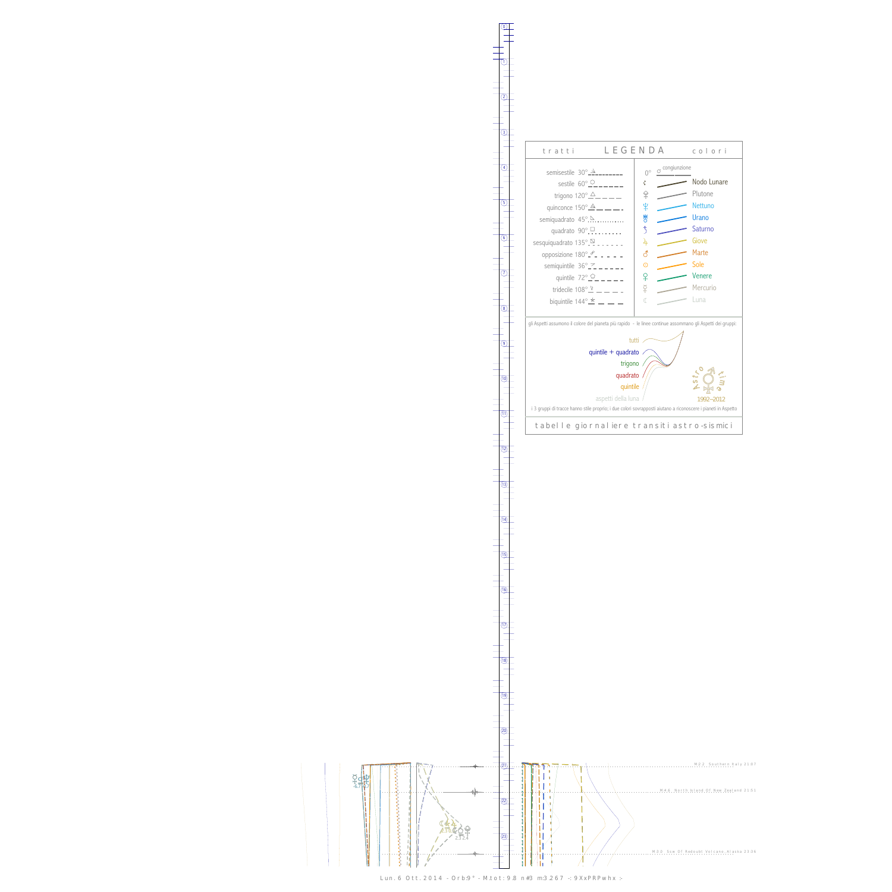$\breve{\mathrm{F}}$ 士。<br>-6.7